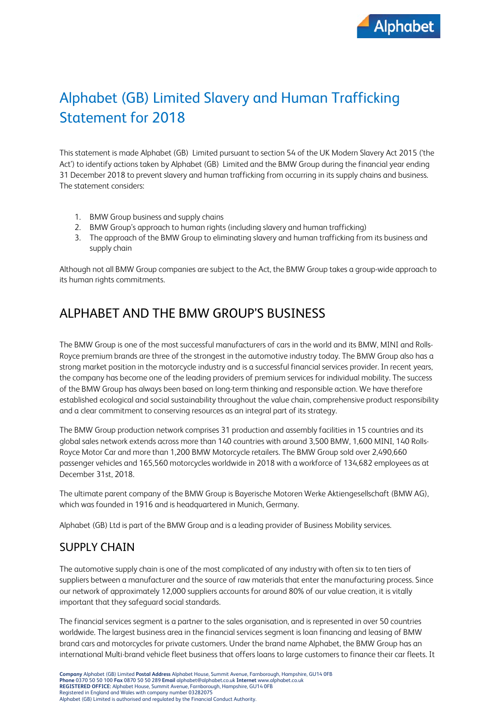

# Alphabet (GB) Limited Slavery and Human Trafficking Statement for 2018

This statement is made Alphabet (GB) Limited pursuant to section 54 of the UK Modern Slavery Act 2015 ('the Act') to identify actions taken by Alphabet (GB) Limited and the BMW Group during the financial year ending 31 December 2018 to prevent slavery and human trafficking from occurring in its supply chains and business. The statement considers:

- 1. BMW Group business and supply chains
- 2. BMW Group's approach to human rights (including slavery and human trafficking)
- 3. The approach of the BMW Group to eliminating slavery and human trafficking from its business and supply chain

Although not all BMW Group companies are subject to the Act, the BMW Group takes a group-wide approach to its human rights commitments.

## ALPHABET AND THE BMW GROUP'S BUSINESS

The BMW Group is one of the most successful manufacturers of cars in the world and its BMW, MINI and Rolls-Royce premium brands are three of the strongest in the automotive industry today. The BMW Group also has a strong market position in the motorcycle industry and is a successful financial services provider. In recent years, the company has become one of the leading providers of premium services for individual mobility. The success of the BMW Group has always been based on long-term thinking and responsible action. We have therefore established ecological and social sustainability throughout the value chain, comprehensive product responsibility and a clear commitment to conserving resources as an integral part of its strategy.

The BMW Group production network comprises 31 production and assembly facilities in 15 countries and its global sales network extends across more than 140 countries with around 3,500 BMW, 1,600 MINI, 140 Rolls-Royce Motor Car and more than 1,200 BMW Motorcycle retailers. The BMW Group sold over 2,490,660 passenger vehicles and 165,560 motorcycles worldwide in 2018 with a workforce of 134,682 employees as at December 31st, 2018.

The ultimate parent company of the BMW Group is Bayerische Motoren Werke Aktiengesellschaft (BMW AG), which was founded in 1916 and is headquartered in Munich, Germany.

Alphabet (GB) Ltd is part of the BMW Group and is a leading provider of Business Mobility services.

### SUPPLY CHAIN

The automotive supply chain is one of the most complicated of any industry with often six to ten tiers of suppliers between a manufacturer and the source of raw materials that enter the manufacturing process. Since our network of approximately 12,000 suppliers accounts for around 80% of our value creation, it is vitally important that they safeguard social standards.

The financial services segment is a partner to the sales organisation, and is represented in over 50 countries worldwide. The largest business area in the financial services segment is loan financing and leasing of BMW brand cars and motorcycles for private customers. Under the brand name Alphabet, the BMW Group has an international Multi-brand vehicle fleet business that offers loans to large customers to finance their car fleets. It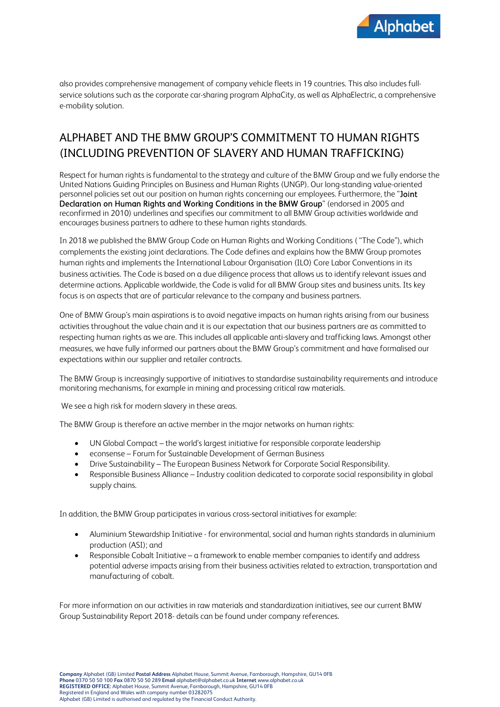

also provides comprehensive management of company vehicle fleets in 19 countries. This also includes fullservice solutions such as the corporate car-sharing program AlphaCity, as well as AlphaElectric, a comprehensive e-mobility solution.

## ALPHABET AND THE BMW GROUP'S COMMITMENT TO HUMAN RIGHTS (INCLUDING PREVENTION OF SLAVERY AND HUMAN TRAFFICKING)

Respect for human rights is fundamental to the strategy and culture of the BMW Group and we fully endorse the United Nations Guiding Principles on Business and Human Rights (UNGP). Our long-standing value-oriented personnel policies set out our position on human rights concerning our employees. Furthermore, the "Joint Declaration on Human Rights and Working Conditions in the BMW Group" (endorsed in 2005 and reconfirmed in 2010) underlines and specifies our commitment to all BMW Group activities worldwide and encourages business partners to adhere to these human rights standards.

In 2018 we published the BMW Group Code on Human Rights and Working Conditions ( "The Code"), which complements the existing joint declarations. The Code defines and explains how the BMW Group promotes human rights and implements the International Labour Organisation (ILO) Core Labor Conventions in its business activities. The Code is based on a due diligence process that allows us to identify relevant issues and determine actions. Applicable worldwide, the Code is valid for all BMW Group sites and business units. Its key focus is on aspects that are of particular relevance to the company and business partners.

One of BMW Group's main aspirations is to avoid negative impacts on human rights arising from our business activities throughout the value chain and it is our expectation that our business partners are as committed to respecting human rights as we are. This includes all applicable anti-slavery and trafficking laws. Amongst other measures, we have fully informed our partners about the BMW Group's commitment and have formalised our expectations within our supplier and retailer contracts.

The BMW Group is increasingly supportive of initiatives to standardise sustainability requirements and introduce monitoring mechanisms, for example in mining and processing critical raw materials.

We see a high risk for modern slavery in these areas.

The BMW Group is therefore an active member in the major networks on human rights:

- UN Global Compact the world's largest initiative for responsible corporate leadership
- econsense Forum for Sustainable Development of German Business
- Drive Sustainability The European Business Network for Corporate Social Responsibility.
- Responsible Business Alliance Industry coalition dedicated to corporate social responsibility in global supply chains.

In addition, the BMW Group participates in various cross-sectoral initiatives for example:

- Aluminium Stewardship Initiative for environmental, social and human rights standards in aluminium production (ASI); and
- Responsible Cobalt Initiative a framework to enable member companies to identify and address potential adverse impacts arising from their business activities related to extraction, transportation and manufacturing of cobalt.

For more information on our activities in raw materials and standardization initiatives, see our current BMW Group Sustainability Report 2018- details can be found under company references.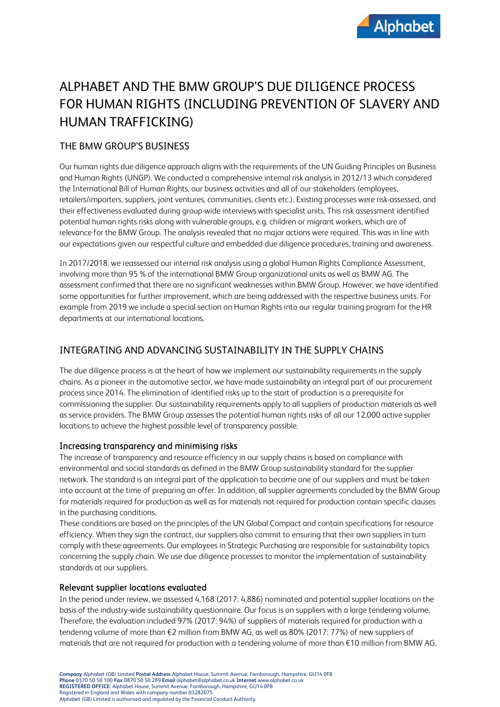## ALPHABET AND THE BMW GROUP'S DUE DILIGENCE PROCESS FOR HUMAN RIGHTS (INCLUDING PREVENTION OF SLAVERY AND HUMAN TRAFFICKING)

#### THE BMW GROUP'S BUSINESS

Our human rights due diligence approach aligns with the requirements of the UN Guiding Principles on Business and Human Rights (UNGP). We conducted a comprehensive internal risk analysis in 2012/13 which considered the International Bill of Human Rights, our business activities and all of our stakeholders (employees, retailers/importers, suppliers, joint ventures, communities, clients etc.). Existing processes were risk-assessed, and their effectiveness evaluated during group-wide interviews with specialist units. This risk assessment identified potential human rights risks along with vulnerable groups, e.g. children or migrant workers, which are of relevance for the BMW Group. The analysis revealed that no major actions were required. This was in line with our expectations given our respectful culture and embedded due diligence procedures, training and awareness.

In 2017/2018, we reassessed our internal risk analysis using a global Human Rights Compliance Assessment, involving more than 95 % of the international BMW Group organizational units as well as BMW AG. The assessment confirmed that there are no significant weaknesses within BMW Group. However, we have identified some opportunities for further improvement, which are being addressed with the respective business units. For example from 2019 we include a special section on Human Rights into our regular training program for the HR departments at our international locations.

#### INTEGRATING AND ADVANCING SUSTAINABILITY IN THE SUPPLY CHAINS

The due diligence process is at the heart of how we implement our sustainability requirements in the supply chains. As a pioneer in the automotive sector, we have made sustainability an integral part of our procurement process since 2014. The elimination of identified risks up to the start of production is a prerequisite for commissioning the supplier. Our sustainability requirements apply to all suppliers of production materials as well as service providers. The BMW Group assesses the potential human rights risks of all our 12,000 active supplier locations to achieve the highest possible level of transparency possible.

#### Increasing transparency and minimising risks

The increase of transparency and resource efficiency in our supply chains is based on compliance with environmental and social standards as defined in the BMW Group sustainability standard for the supplier network. The standard is an integral part of the application to become one of our suppliers and must be taken into account at the time of preparing an offer. In addition, all supplier agreements concluded by the BMW Group for materials required for production as well as for materials not required for production contain specific clauses in the purchasing conditions.

These conditions are based on the principles of the UN Global Compact and contain specifications for resource efficiency. When they sign the contract, our suppliers also commit to ensuring that their own suppliers in turn comply with these agreements. Our employees in Strategic Purchasing are responsible for sustainability topics concerning the supply chain. We use due diligence processes to monitor the implementation of sustainability standards at our suppliers.

#### Relevant supplier locations evaluated

In the period under review, we assessed 4,168 (2017: 4,886) nominated and potential supplier locations on the basis of the industry-wide sustainability questionnaire. Our focus is on suppliers with a large tendering volume. Therefore, the evaluation included 97% (2017: 94%) of suppliers of materials required for production with a tendering volume of more than €2 million from BMW AG, as well as 80% (2017: 77%) of new suppliers of materials that are not required for production with a tendering volume of more than €10 million from BMW AG.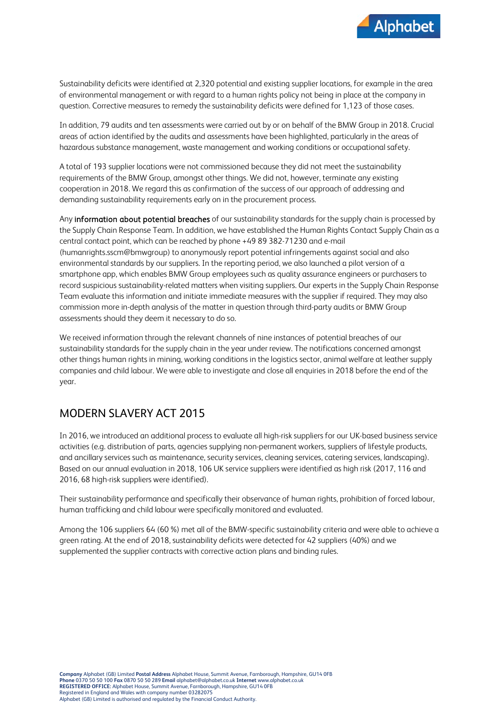

Sustainability deficits were identified at 2,320 potential and existing supplier locations, for example in the area of environmental management or with regard to a human rights policy not being in place at the company in question. Corrective measures to remedy the sustainability deficits were defined for 1,123 of those cases.

In addition, 79 audits and ten assessments were carried out by or on behalf of the BMW Group in 2018. Crucial areas of action identified by the audits and assessments have been highlighted, particularly in the areas of hazardous substance management, waste management and working conditions or occupational safety.

A total of 193 supplier locations were not commissioned because they did not meet the sustainability requirements of the BMW Group, amongst other things. We did not, however, terminate any existing cooperation in 2018. We regard this as confirmation of the success of our approach of addressing and demanding sustainability requirements early on in the procurement process.

Any information about potential breaches of our sustainability standards for the supply chain is processed by the Supply Chain Response Team. In addition, we have established the Human Rights Contact Supply Chain as a central contact point, which can be reached by phone +49 89 382-71230 and e-mail [\(humanrights.sscm@bmwgroup\)](mailto:humanrights.sscm@bmwgroup) to anonymously report potential infringements against social and also environmental standards by our suppliers. In the reporting period, we also launched a pilot version of a smartphone app, which enables BMW Group employees such as quality assurance engineers or purchasers to record suspicious sustainability-related matters when visiting suppliers. Our experts in the Supply Chain Response Team evaluate this information and initiate immediate measures with the supplier if required. They may also commission more in-depth analysis of the matter in question through third-party audits or BMW Group assessments should they deem it necessary to do so.

We received information through the relevant channels of nine instances of potential breaches of our sustainability standards for the supply chain in the year under review. The notifications concerned amongst other things human rights in mining, working conditions in the logistics sector, animal welfare at leather supply companies and child labour. We were able to investigate and close all enquiries in 2018 before the end of the year.

## MODERN SLAVERY ACT 2015

In 2016, we introduced an additional process to evaluate all high-risk suppliers for our UK-based business service activities (e.g. distribution of parts, agencies supplying non-permanent workers, suppliers of lifestyle products, and ancillary services such as maintenance, security services, cleaning services, catering services, landscaping). Based on our annual evaluation in 2018, 106 UK service suppliers were identified as high risk (2017, 116 and 2016, 68 high-risk suppliers were identified).

Their sustainability performance and specifically their observance of human rights, prohibition of forced labour, human trafficking and child labour were specifically monitored and evaluated.

Among the 106 suppliers 64 (60 %) met all of the BMW-specific sustainability criteria and were able to achieve a green rating. At the end of 2018, sustainability deficits were detected for 42 suppliers (40%) and we supplemented the supplier contracts with corrective action plans and binding rules.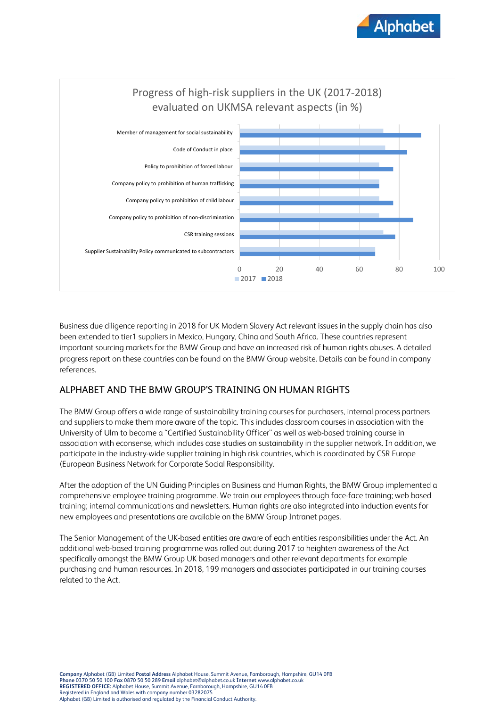



Business due diligence reporting in 2018 for UK Modern Slavery Act relevant issues in the supply chain has also been extended to tier1 suppliers in Mexico, Hungary, China and South Africa. These countries represent important sourcing markets for the BMW Group and have an increased risk of human rights abuses. A detailed progress report on these countries can be found on the BMW Group website. Details can be found in company references.

#### ALPHABET AND THE BMW GROUP'S TRAINING ON HUMAN RIGHTS

The BMW Group offers a wide range of sustainability training courses for purchasers, internal process partners and suppliers to make them more aware of the topic. This includes classroom courses in association with the University of Ulm to become a "Certified Sustainability Officer" as well as web-based training course in association with econsense, which includes case studies on sustainability in the supplier network. In addition, we participate in the industry-wide supplier training in high risk countries, which is coordinated by CSR Europe (European Business Network for Corporate Social Responsibility.

After the adoption of the UN Guiding Principles on Business and Human Rights, the BMW Group implemented a comprehensive employee training programme. We train our employees through face-face training; web based training; internal communications and newsletters. Human rights are also integrated into induction events for new employees and presentations are available on the BMW Group Intranet pages.

The Senior Management of the UK-based entities are aware of each entities responsibilities under the Act. An additional web-based training programme was rolled out during 2017 to heighten awareness of the Act specifically amongst the BMW Group UK based managers and other relevant departments for example purchasing and human resources. In 2018, 199 managers and associates participated in our training courses related to the Act.